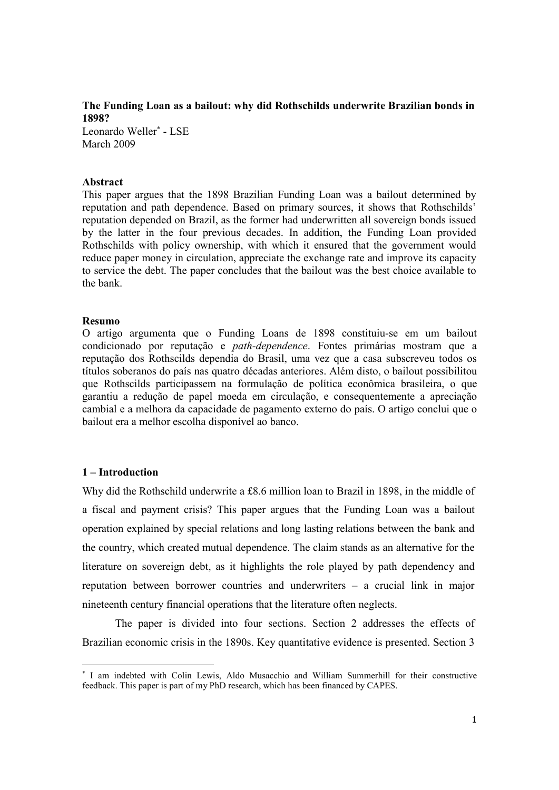**The Funding Loan as a bailout: why did Rothschilds underwrite Brazilian bonds in 1898?** 

Leonardo Weller<sup>\*</sup> - LSE March 2009

## **Abstract**

This paper argues that the 1898 Brazilian Funding Loan was a bailout determined by reputation and path dependence. Based on primary sources, it shows that Rothschilds' reputation depended on Brazil, as the former had underwritten all sovereign bonds issued by the latter in the four previous decades. In addition, the Funding Loan provided Rothschilds with policy ownership, with which it ensured that the government would reduce paper money in circulation, appreciate the exchange rate and improve its capacity to service the debt. The paper concludes that the bailout was the best choice available to the bank.

#### **Resumo**

O artigo argumenta que o Funding Loans de 1898 constituiu-se em um bailout condicionado por reputação e *path-dependence*. Fontes primárias mostram que a reputação dos Rothscilds dependia do Brasil, uma vez que a casa subscreveu todos os títulos soberanos do país nas quatro décadas anteriores. Além disto, o bailout possibilitou que Rothscilds participassem na formulação de política econômica brasileira, o que garantiu a redução de papel moeda em circulação, e consequentemente a apreciação cambial e a melhora da capacidade de pagamento externo do país. O artigo conclui que o bailout era a melhor escolha disponível ao banco.

## **1 – Introduction**

Why did the Rothschild underwrite a £8.6 million loan to Brazil in 1898, in the middle of a fiscal and payment crisis? This paper argues that the Funding Loan was a bailout operation explained by special relations and long lasting relations between the bank and the country, which created mutual dependence. The claim stands as an alternative for the literature on sovereign debt, as it highlights the role played by path dependency and reputation between borrower countries and underwriters – a crucial link in major nineteenth century financial operations that the literature often neglects.

 The paper is divided into four sections. Section 2 addresses the effects of Brazilian economic crisis in the 1890s. Key quantitative evidence is presented. Section 3

 ∗ I am indebted with Colin Lewis, Aldo Musacchio and William Summerhill for their constructive feedback. This paper is part of my PhD research, which has been financed by CAPES.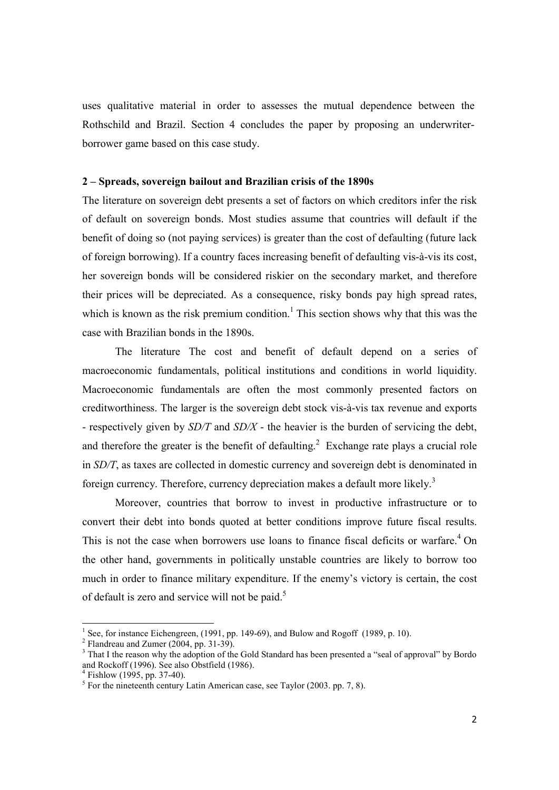uses qualitative material in order to assesses the mutual dependence between the Rothschild and Brazil. Section 4 concludes the paper by proposing an underwriterborrower game based on this case study.

### **2 – Spreads, sovereign bailout and Brazilian crisis of the 1890s**

The literature on sovereign debt presents a set of factors on which creditors infer the risk of default on sovereign bonds. Most studies assume that countries will default if the benefit of doing so (not paying services) is greater than the cost of defaulting (future lack of foreign borrowing). If a country faces increasing benefit of defaulting vis-à-vis its cost, her sovereign bonds will be considered riskier on the secondary market, and therefore their prices will be depreciated. As a consequence, risky bonds pay high spread rates, which is known as the risk premium condition.<sup>1</sup> This section shows why that this was the case with Brazilian bonds in the 1890s.

The literature The cost and benefit of default depend on a series of macroeconomic fundamentals, political institutions and conditions in world liquidity. Macroeconomic fundamentals are often the most commonly presented factors on creditworthiness. The larger is the sovereign debt stock vis-à-vis tax revenue and exports - respectively given by *SD/T* and *SD/X* - the heavier is the burden of servicing the debt, and therefore the greater is the benefit of defaulting.<sup>2</sup> Exchange rate plays a crucial role in *SD/T*, as taxes are collected in domestic currency and sovereign debt is denominated in foreign currency. Therefore, currency depreciation makes a default more likely.<sup>3</sup>

Moreover, countries that borrow to invest in productive infrastructure or to convert their debt into bonds quoted at better conditions improve future fiscal results. This is not the case when borrowers use loans to finance fiscal deficits or warfare.<sup>4</sup> On the other hand, governments in politically unstable countries are likely to borrow too much in order to finance military expenditure. If the enemy's victory is certain, the cost of default is zero and service will not be paid.<sup>5</sup>

<sup>1&</sup>lt;br><sup>1</sup> See, for instance Eichengreen, (1991, pp. 149-69), and Bulow and Rogoff (1989, p. 10).

 $2$  Flandreau and Zumer (2004, pp. 31-39).

<sup>&</sup>lt;sup>3</sup> That I the reason why the adoption of the Gold Standard has been presented a "seal of approval" by Bordo and Rockoff (1996). See also Obstfield (1986).

<sup>4</sup> Fishlow (1995, pp. 37-40).

<sup>&</sup>lt;sup>5</sup> For the nineteenth century Latin American case, see Taylor (2003. pp. 7, 8).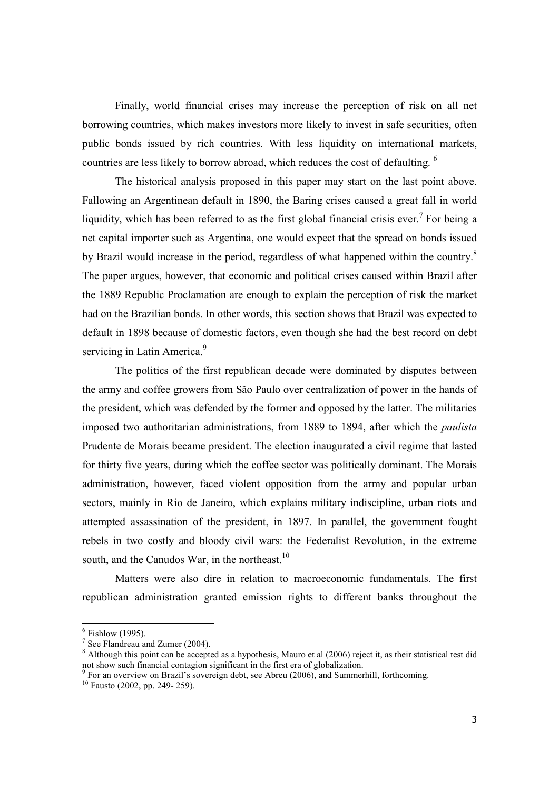Finally, world financial crises may increase the perception of risk on all net borrowing countries, which makes investors more likely to invest in safe securities, often public bonds issued by rich countries. With less liquidity on international markets, countries are less likely to borrow abroad, which reduces the cost of defaulting. <sup>6</sup>

The historical analysis proposed in this paper may start on the last point above. Fallowing an Argentinean default in 1890, the Baring crises caused a great fall in world liquidity, which has been referred to as the first global financial crisis ever.<sup>7</sup> For being a net capital importer such as Argentina, one would expect that the spread on bonds issued by Brazil would increase in the period, regardless of what happened within the country.<sup>8</sup> The paper argues, however, that economic and political crises caused within Brazil after the 1889 Republic Proclamation are enough to explain the perception of risk the market had on the Brazilian bonds. In other words, this section shows that Brazil was expected to default in 1898 because of domestic factors, even though she had the best record on debt servicing in Latin America.<sup>9</sup>

The politics of the first republican decade were dominated by disputes between the army and coffee growers from São Paulo over centralization of power in the hands of the president, which was defended by the former and opposed by the latter. The militaries imposed two authoritarian administrations, from 1889 to 1894, after which the *paulista*  Prudente de Morais became president. The election inaugurated a civil regime that lasted for thirty five years, during which the coffee sector was politically dominant. The Morais administration, however, faced violent opposition from the army and popular urban sectors, mainly in Rio de Janeiro, which explains military indiscipline, urban riots and attempted assassination of the president, in 1897. In parallel, the government fought rebels in two costly and bloody civil wars: the Federalist Revolution, in the extreme south, and the Canudos War, in the northeast. $10$ 

Matters were also dire in relation to macroeconomic fundamentals. The first republican administration granted emission rights to different banks throughout the

 $6$  Fishlow (1995).

<sup>&</sup>lt;sup>7</sup> See Flandreau and Zumer (2004).

 $8$  Although this point can be accepted as a hypothesis, Mauro et al (2006) reject it, as their statistical test did not show such financial contagion significant in the first era of globalization.

<sup>&</sup>lt;sup>9</sup> For an overview on Brazil's sovereign debt, see Abreu (2006), and Summerhill, forthcoming.

 $^{10}$  Fausto (2002, pp. 249- 259).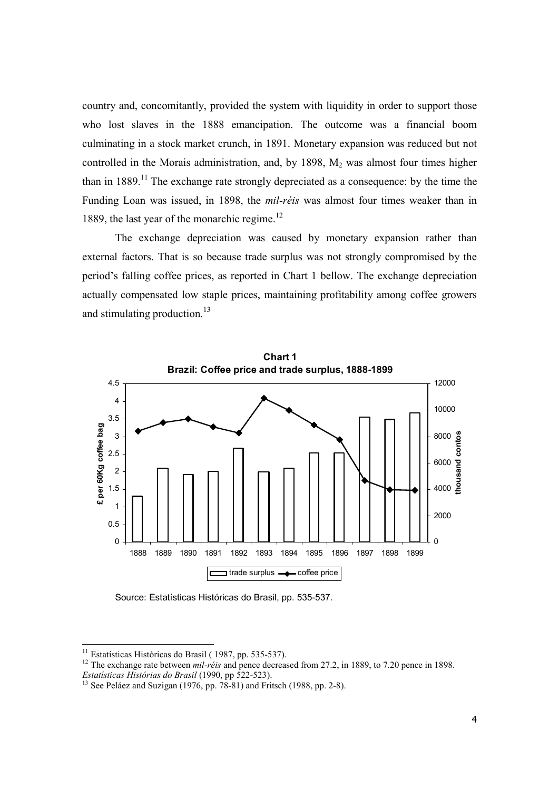country and, concomitantly, provided the system with liquidity in order to support those who lost slaves in the 1888 emancipation. The outcome was a financial boom culminating in a stock market crunch, in 1891. Monetary expansion was reduced but not controlled in the Morais administration, and, by  $1898$ ,  $M<sub>2</sub>$  was almost four times higher than in  $1889$ <sup>11</sup>. The exchange rate strongly depreciated as a consequence: by the time the Funding Loan was issued, in 1898, the *mil-réis* was almost four times weaker than in 1889, the last year of the monarchic regime.<sup>12</sup>

The exchange depreciation was caused by monetary expansion rather than external factors. That is so because trade surplus was not strongly compromised by the period's falling coffee prices, as reported in Chart 1 bellow. The exchange depreciation actually compensated low staple prices, maintaining profitability among coffee growers and stimulating production.<sup>13</sup>



Source: Estatísticas Históricas do Brasil, pp. 535-537.

 $11$  Estatísticas Históricas do Brasil (1987, pp. 535-537).

<sup>&</sup>lt;sup>12</sup> The exchange rate between *mil-réis* and pence decreased from 27.2, in 1889, to 7.20 pence in 1898. *Estatísticas Histórias do Brasil* (1990, pp 522-523).

<sup>&</sup>lt;sup>13</sup> See Peláez and Suzigan (1976, pp. 78-81) and Fritsch (1988, pp. 2-8).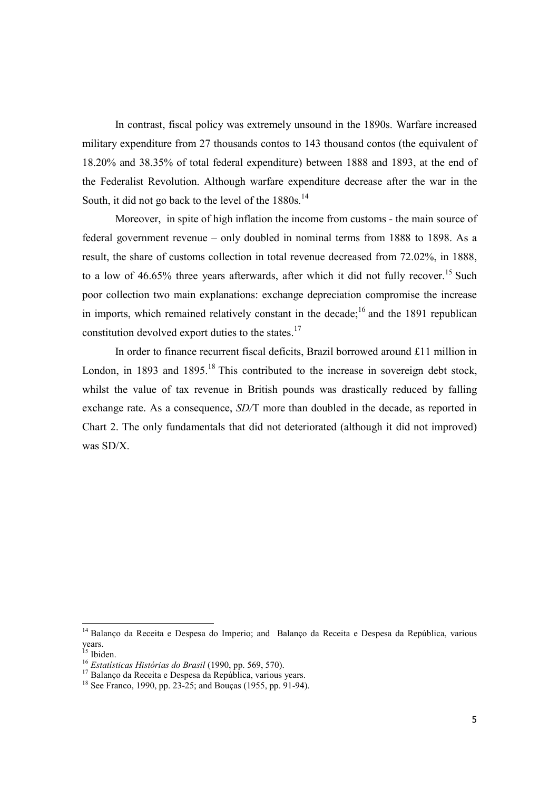In contrast, fiscal policy was extremely unsound in the 1890s. Warfare increased military expenditure from 27 thousands contos to 143 thousand contos (the equivalent of 18.20% and 38.35% of total federal expenditure) between 1888 and 1893, at the end of the Federalist Revolution. Although warfare expenditure decrease after the war in the South, it did not go back to the level of the 1880s.<sup>14</sup>

Moreover, in spite of high inflation the income from customs - the main source of federal government revenue – only doubled in nominal terms from 1888 to 1898. As a result, the share of customs collection in total revenue decreased from 72.02%, in 1888, to a low of  $46.65\%$  three years afterwards, after which it did not fully recover.<sup>15</sup> Such poor collection two main explanations: exchange depreciation compromise the increase in imports, which remained relatively constant in the decade;<sup>16</sup> and the 1891 republican constitution devolved export duties to the states.<sup>17</sup>

In order to finance recurrent fiscal deficits, Brazil borrowed around £11 million in London, in 1893 and 1895.<sup>18</sup> This contributed to the increase in sovereign debt stock, whilst the value of tax revenue in British pounds was drastically reduced by falling exchange rate. As a consequence, *SD/*T more than doubled in the decade, as reported in Chart 2. The only fundamentals that did not deteriorated (although it did not improved) was SD/X.

<sup>&</sup>lt;sup>14</sup> Balanço da Receita e Despesa do Imperio; and Balanço da Receita e Despesa da República, various years.

<sup>&</sup>lt;sup>15</sup> Ibiden.

<sup>16</sup> *Estatísticas Histórias do Brasil* (1990, pp. 569, 570).

<sup>&</sup>lt;sup>17</sup> Balanço da Receita e Despesa da República, various years.

<sup>&</sup>lt;sup>18</sup> See Franco, 1990, pp. 23-25; and Boucas (1955, pp. 91-94).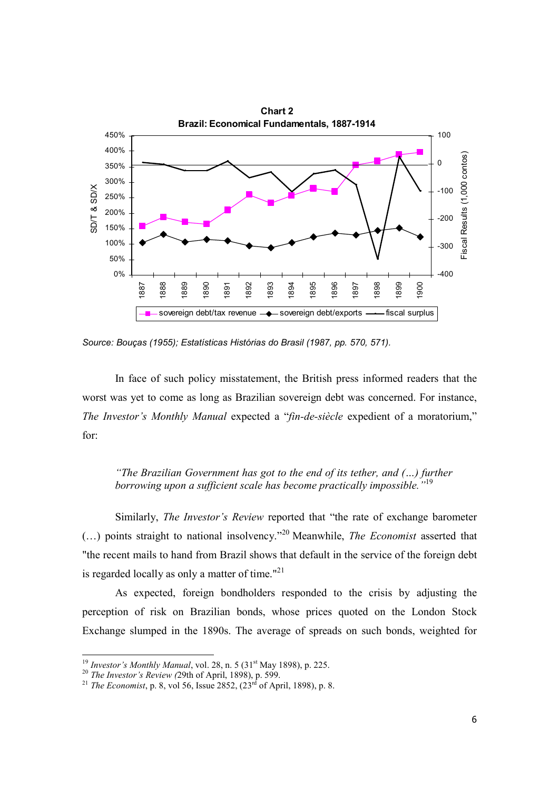

*Source: Bouças (1955); Estatísticas Histórias do Brasil (1987, pp. 570, 571).* 

In face of such policy misstatement, the British press informed readers that the worst was yet to come as long as Brazilian sovereign debt was concerned. For instance, *The Investor's Monthly Manual* expected a "*fin-de-siècle* expedient of a moratorium," for:

*"The Brazilian Government has got to the end of its tether, and (…) further borrowing upon a sufficient scale has become practically impossible."*<sup>19</sup>

Similarly, *The Investor's Review* reported that "the rate of exchange barometer (…) points straight to national insolvency."<sup>20</sup> Meanwhile, *The Economist* asserted that "the recent mails to hand from Brazil shows that default in the service of the foreign debt is regarded locally as only a matter of time."<sup>21</sup>

As expected, foreign bondholders responded to the crisis by adjusting the perception of risk on Brazilian bonds, whose prices quoted on the London Stock Exchange slumped in the 1890s. The average of spreads on such bonds, weighted for

<sup>&</sup>lt;sup>19</sup> *Investor's Monthly Manual*, vol. 28, n. 5 (31<sup>st</sup> May 1898), p. 225.

<sup>20</sup> *The Investor's Review (*29th of April, 1898), p. 599.

<sup>&</sup>lt;sup>21</sup> *The Economist*, p. 8, vol 56, Issue 2852,  $(23^{rd}$  of April, 1898), p. 8.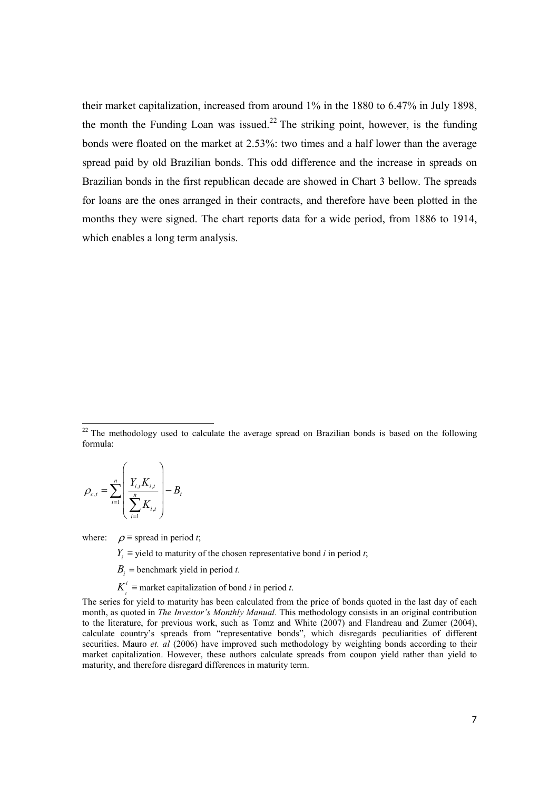their market capitalization, increased from around 1% in the 1880 to 6.47% in July 1898, the month the Funding Loan was issued.<sup>22</sup> The striking point, however, is the funding bonds were floated on the market at 2.53%: two times and a half lower than the average spread paid by old Brazilian bonds. This odd difference and the increase in spreads on Brazilian bonds in the first republican decade are showed in Chart 3 bellow. The spreads for loans are the ones arranged in their contracts, and therefore have been plotted in the months they were signed. The chart reports data for a wide period, from 1886 to 1914, which enables a long term analysis.

$$
\rho_{c,t} = \sum_{i=1}^{n} \left( \frac{Y_{i,t} K_{i,t}}{\sum_{i=1}^{n} K_{i,t}} \right) - B_t
$$

1

where:  $\rho \equiv$  spread in period *t*;

 $Y_i$  ≡ yield to maturity of the chosen representative bond *i* in period *t*;

 $B_i$  ≡ benchmark yield in period *t*.

 $K^i$  ≡ market capitalization of bond *i* in period *t*.

The series for yield to maturity has been calculated from the price of bonds quoted in the last day of each month, as quoted in *The Investor's Monthly Manual.* This methodology consists in an original contribution to the literature, for previous work, such as Tomz and White (2007) and Flandreau and Zumer (2004), calculate country's spreads from "representative bonds", which disregards peculiarities of different securities. Mauro *et. al* (2006) have improved such methodology by weighting bonds according to their market capitalization. However, these authors calculate spreads from coupon yield rather than yield to maturity, and therefore disregard differences in maturity term.

 $22$  The methodology used to calculate the average spread on Brazilian bonds is based on the following formula: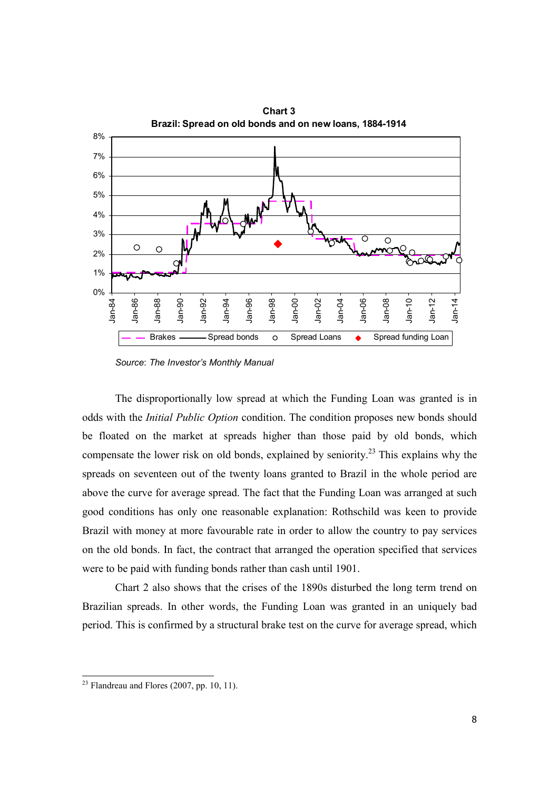

*Source*: *The Investor's Monthly Manual* 

The disproportionally low spread at which the Funding Loan was granted is in odds with the *Initial Public Option* condition. The condition proposes new bonds should be floated on the market at spreads higher than those paid by old bonds, which compensate the lower risk on old bonds, explained by seniority.<sup>23</sup> This explains why the spreads on seventeen out of the twenty loans granted to Brazil in the whole period are above the curve for average spread. The fact that the Funding Loan was arranged at such good conditions has only one reasonable explanation: Rothschild was keen to provide Brazil with money at more favourable rate in order to allow the country to pay services on the old bonds. In fact, the contract that arranged the operation specified that services were to be paid with funding bonds rather than cash until 1901.

Chart 2 also shows that the crises of the 1890s disturbed the long term trend on Brazilian spreads. In other words, the Funding Loan was granted in an uniquely bad period. This is confirmed by a structural brake test on the curve for average spread, which

 $2<sup>23</sup>$  Flandreau and Flores (2007, pp. 10, 11).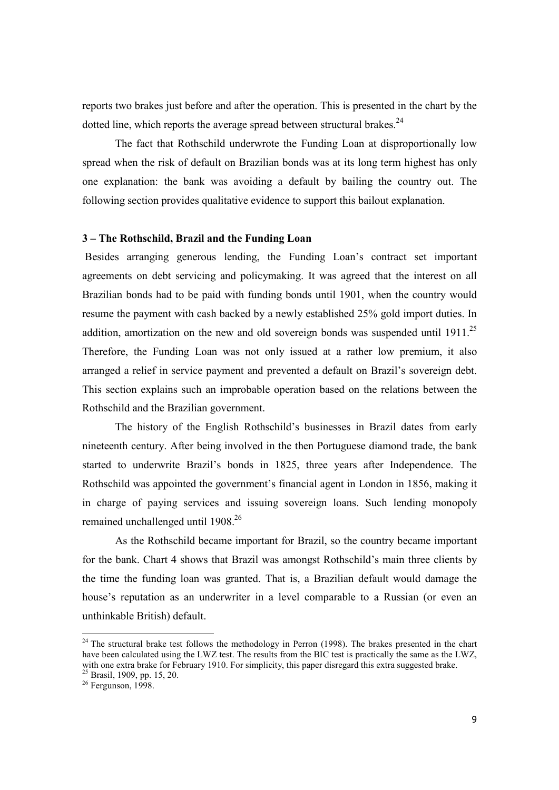reports two brakes just before and after the operation. This is presented in the chart by the dotted line, which reports the average spread between structural brakes. $24$ 

The fact that Rothschild underwrote the Funding Loan at disproportionally low spread when the risk of default on Brazilian bonds was at its long term highest has only one explanation: the bank was avoiding a default by bailing the country out. The following section provides qualitative evidence to support this bailout explanation.

# **3 – The Rothschild, Brazil and the Funding Loan**

Besides arranging generous lending, the Funding Loan's contract set important agreements on debt servicing and policymaking. It was agreed that the interest on all Brazilian bonds had to be paid with funding bonds until 1901, when the country would resume the payment with cash backed by a newly established 25% gold import duties. In addition, amortization on the new and old sovereign bonds was suspended until  $1911^{25}$ Therefore, the Funding Loan was not only issued at a rather low premium, it also arranged a relief in service payment and prevented a default on Brazil's sovereign debt. This section explains such an improbable operation based on the relations between the Rothschild and the Brazilian government.

The history of the English Rothschild's businesses in Brazil dates from early nineteenth century. After being involved in the then Portuguese diamond trade, the bank started to underwrite Brazil's bonds in 1825, three years after Independence. The Rothschild was appointed the government's financial agent in London in 1856, making it in charge of paying services and issuing sovereign loans. Such lending monopoly remained unchallenged until 1908.<sup>26</sup>

As the Rothschild became important for Brazil, so the country became important for the bank. Chart 4 shows that Brazil was amongst Rothschild's main three clients by the time the funding loan was granted. That is, a Brazilian default would damage the house's reputation as an underwriter in a level comparable to a Russian (or even an unthinkable British) default.

<sup>&</sup>lt;sup>24</sup> The structural brake test follows the methodology in Perron (1998). The brakes presented in the chart have been calculated using the LWZ test. The results from the BIC test is practically the same as the LWZ, with one extra brake for February 1910. For simplicity, this paper disregard this extra suggested brake.

<sup>&</sup>lt;sup>25</sup> Brasil, 1909, pp. 15, 20.

 $26$  Fergunson, 1998.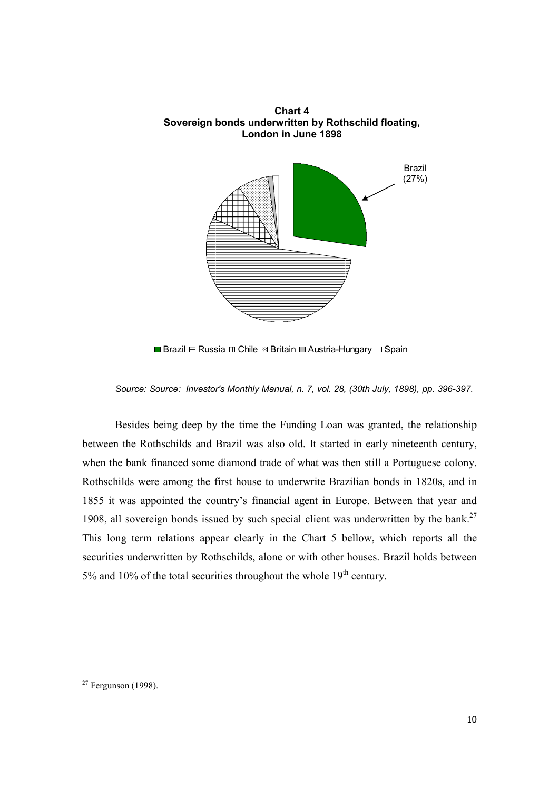

*Source: Source: Investor's Monthly Manual, n. 7, vol. 28, (30th July, 1898), pp. 396-397.* 

Besides being deep by the time the Funding Loan was granted, the relationship between the Rothschilds and Brazil was also old. It started in early nineteenth century, when the bank financed some diamond trade of what was then still a Portuguese colony. Rothschilds were among the first house to underwrite Brazilian bonds in 1820s, and in 1855 it was appointed the country's financial agent in Europe. Between that year and 1908, all sovereign bonds issued by such special client was underwritten by the bank. $27$ This long term relations appear clearly in the Chart 5 bellow, which reports all the securities underwritten by Rothschilds, alone or with other houses. Brazil holds between 5% and 10% of the total securities throughout the whole  $19<sup>th</sup>$  century.

<sup>1</sup>  $27$  Fergunson (1998).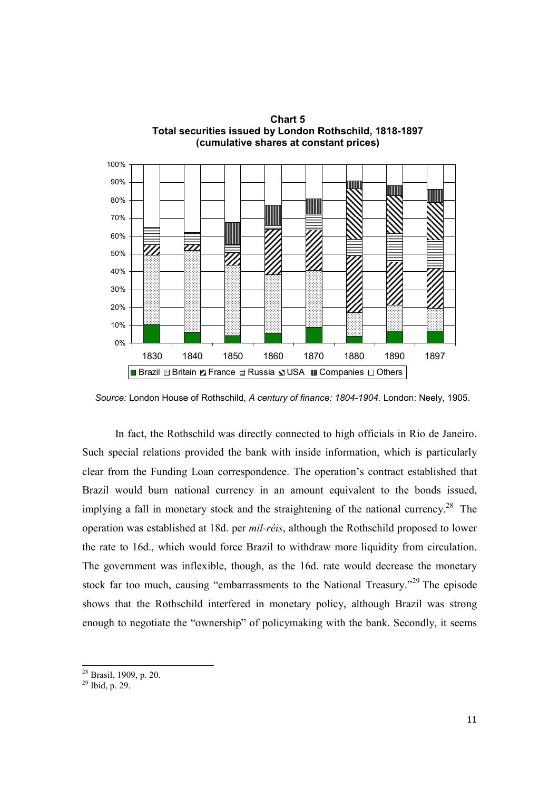

**Chart 5 Total securities issued by London Rothschild, 1818-1897** 

 *Source:* London House of Rothschild, *A century of finance: 1804-1904*. London: Neely, 1905.

In fact, the Rothschild was directly connected to high officials in Rio de Janeiro. Such special relations provided the bank with inside information, which is particularly clear from the Funding Loan correspondence. The operation's contract established that Brazil would burn national currency in an amount equivalent to the bonds issued, implying a fall in monetary stock and the straightening of the national currency.<sup>28</sup> The operation was established at 18d. per *mil-réis*, although the Rothschild proposed to lower the rate to 16d., which would force Brazil to withdraw more liquidity from circulation. The government was inflexible, though, as the 16d. rate would decrease the monetary stock far too much, causing "embarrassments to the National Treasury."<sup>29</sup> The episode shows that the Rothschild interfered in monetary policy, although Brazil was strong enough to negotiate the "ownership" of policymaking with the bank. Secondly, it seems

t <sup>28</sup> Brasil, 1909, p. 20.

 $29$  Ibid, p. 29.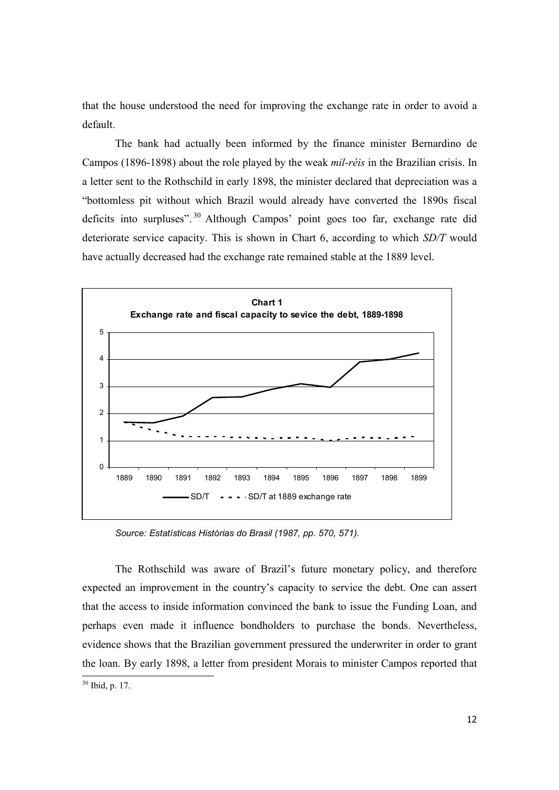that the house understood the need for improving the exchange rate in order to avoid a default.

The bank had actually been informed by the finance minister Bernardino de Campos (1896-1898) about the role played by the weak *mil-réis* in the Brazilian crisis. In a letter sent to the Rothschild in early 1898, the minister declared that depreciation was a "bottomless pit without which Brazil would already have converted the 1890s fiscal deficits into surpluses". <sup>30</sup> Although Campos' point goes too far, exchange rate did deteriorate service capacity. This is shown in Chart 6, according to which *SD/T* would have actually decreased had the exchange rate remained stable at the 1889 level.



*Source: Estatísticas Histórias do Brasil (1987, pp. 570, 571).*

The Rothschild was aware of Brazil's future monetary policy, and therefore expected an improvement in the country's capacity to service the debt. One can assert that the access to inside information convinced the bank to issue the Funding Loan, and perhaps even made it influence bondholders to purchase the bonds. Nevertheless, evidence shows that the Brazilian government pressured the underwriter in order to grant the loan. By early 1898, a letter from president Morais to minister Campos reported that

<sup>1</sup> <sup>30</sup> Ibid, p. 17.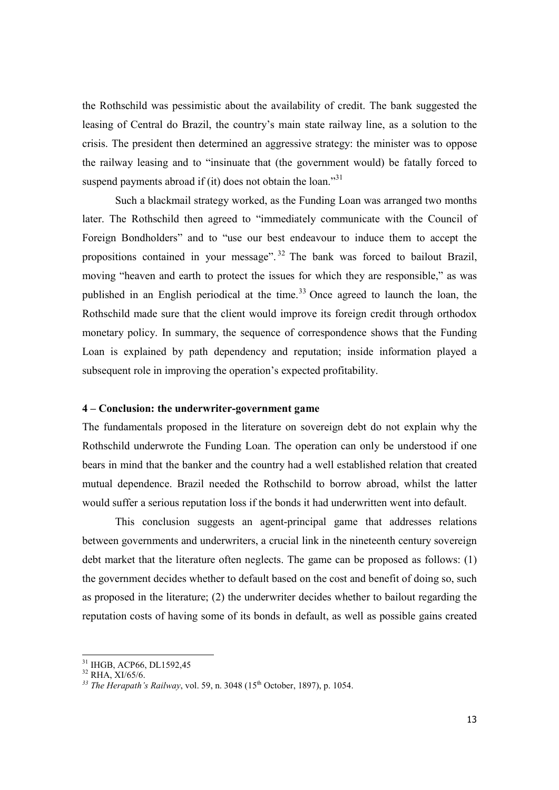the Rothschild was pessimistic about the availability of credit. The bank suggested the leasing of Central do Brazil, the country's main state railway line, as a solution to the crisis. The president then determined an aggressive strategy: the minister was to oppose the railway leasing and to "insinuate that (the government would) be fatally forced to suspend payments abroad if (it) does not obtain the loan."<sup>31</sup>

Such a blackmail strategy worked, as the Funding Loan was arranged two months later. The Rothschild then agreed to "immediately communicate with the Council of Foreign Bondholders" and to "use our best endeavour to induce them to accept the propositions contained in your message".<sup>32</sup> The bank was forced to bailout Brazil, moving "heaven and earth to protect the issues for which they are responsible," as was published in an English periodical at the time.<sup>33</sup> Once agreed to launch the loan, the Rothschild made sure that the client would improve its foreign credit through orthodox monetary policy. In summary, the sequence of correspondence shows that the Funding Loan is explained by path dependency and reputation; inside information played a subsequent role in improving the operation's expected profitability.

# **4 – Conclusion: the underwriter-government game**

The fundamentals proposed in the literature on sovereign debt do not explain why the Rothschild underwrote the Funding Loan. The operation can only be understood if one bears in mind that the banker and the country had a well established relation that created mutual dependence. Brazil needed the Rothschild to borrow abroad, whilst the latter would suffer a serious reputation loss if the bonds it had underwritten went into default.

 This conclusion suggests an agent-principal game that addresses relations between governments and underwriters, a crucial link in the nineteenth century sovereign debt market that the literature often neglects. The game can be proposed as follows: (1) the government decides whether to default based on the cost and benefit of doing so, such as proposed in the literature; (2) the underwriter decides whether to bailout regarding the reputation costs of having some of its bonds in default, as well as possible gains created

 $^{31}$  IHGB, ACP66, DL1592,45

<sup>32</sup> RHA, XI/65/6.

<sup>&</sup>lt;sup>33</sup> The Herapath's Railway, vol. 59, n. 3048 (15<sup>th</sup> October, 1897), p. 1054.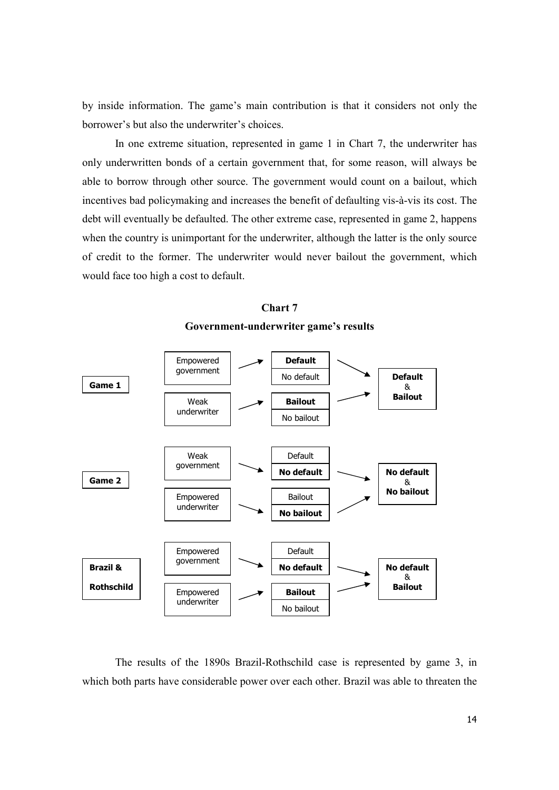by inside information. The game's main contribution is that it considers not only the borrower's but also the underwriter's choices.

 In one extreme situation, represented in game 1 in Chart 7, the underwriter has only underwritten bonds of a certain government that, for some reason, will always be able to borrow through other source. The government would count on a bailout, which incentives bad policymaking and increases the benefit of defaulting vis-à-vis its cost. The debt will eventually be defaulted. The other extreme case, represented in game 2, happens when the country is unimportant for the underwriter, although the latter is the only source of credit to the former. The underwriter would never bailout the government, which would face too high a cost to default.



**Chart 7 Government-underwriter game's results** 

 The results of the 1890s Brazil-Rothschild case is represented by game 3, in which both parts have considerable power over each other. Brazil was able to threaten the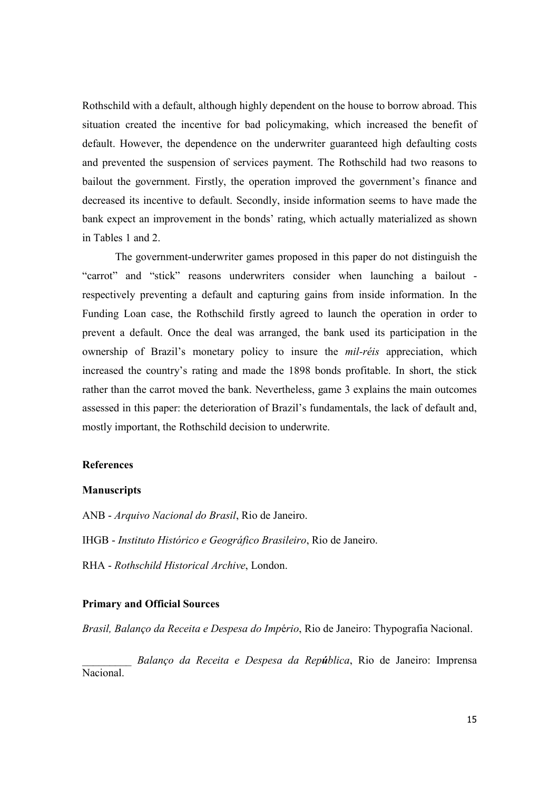Rothschild with a default, although highly dependent on the house to borrow abroad. This situation created the incentive for bad policymaking, which increased the benefit of default. However, the dependence on the underwriter guaranteed high defaulting costs and prevented the suspension of services payment. The Rothschild had two reasons to bailout the government. Firstly, the operation improved the government's finance and decreased its incentive to default. Secondly, inside information seems to have made the bank expect an improvement in the bonds' rating, which actually materialized as shown in Tables 1 and 2.

The government-underwriter games proposed in this paper do not distinguish the "carrot" and "stick" reasons underwriters consider when launching a bailout respectively preventing a default and capturing gains from inside information. In the Funding Loan case, the Rothschild firstly agreed to launch the operation in order to prevent a default. Once the deal was arranged, the bank used its participation in the ownership of Brazil's monetary policy to insure the *mil-réis* appreciation, which increased the country's rating and made the 1898 bonds profitable. In short, the stick rather than the carrot moved the bank. Nevertheless, game 3 explains the main outcomes assessed in this paper: the deterioration of Brazil's fundamentals, the lack of default and, mostly important, the Rothschild decision to underwrite.

### **References**

### **Manuscripts**

ANB - *Arquivo Nacional do Brasil*, Rio de Janeiro.

IHGB - *Instituto Histórico e Geográfico Brasileiro*, Rio de Janeiro.

RHA - *Rothschild Historical Archive*, London.

### **Primary and Official Sources**

*Brasil, Balanço da Receita e Despesa do Imp*é*rio*, Rio de Janeiro: Thypografia Nacional.

\_\_\_\_\_\_\_\_\_ *Balanço da Receita e Despesa da República*, Rio de Janeiro: Imprensa Nacional.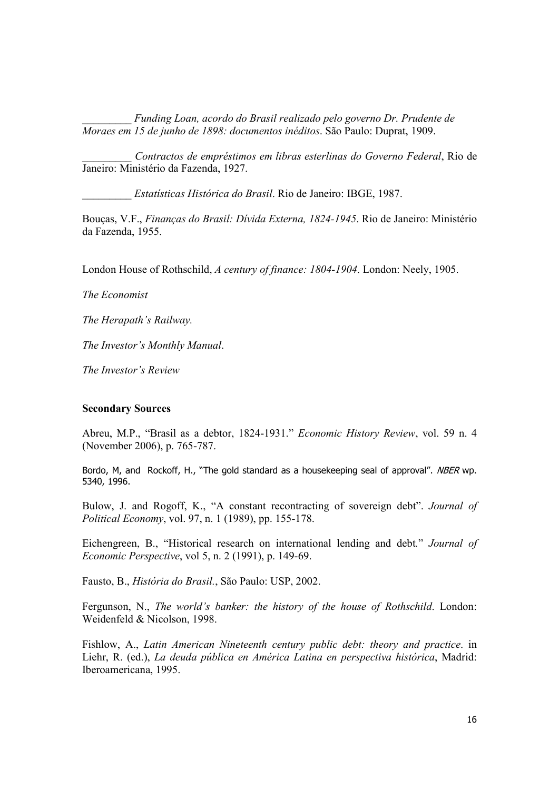\_\_\_\_\_\_\_\_\_ *Funding Loan, acordo do Brasil realizado pelo governo Dr. Prudente de Moraes em 15 de junho de 1898: documentos inéditos*. São Paulo: Duprat, 1909.

\_\_\_\_\_\_\_\_\_ *Contractos de empréstimos em libras esterlinas do Governo Federal*, Rio de Janeiro: Ministério da Fazenda, 1927.

\_\_\_\_\_\_\_\_\_ *Estatísticas Histórica do Brasil*. Rio de Janeiro: IBGE, 1987.

Bouças, V.F., *Finanças do Brasil: Dívida Externa, 1824-1945*. Rio de Janeiro: Ministério da Fazenda, 1955.

London House of Rothschild, *A century of finance: 1804-1904*. London: Neely, 1905.

*The Economist* 

*The Herapath's Railway.* 

*The Investor's Monthly Manual*.

*The Investor's Review* 

## **Secondary Sources**

Abreu, M.P., "Brasil as a debtor, 1824-1931." *Economic History Review*, vol. 59 n. 4 (November 2006), p. 765-787.

Bordo, M, and Rockoff, H., "The gold standard as a housekeeping seal of approval". NBER wp. 5340, 1996.

Bulow, J. and Rogoff, K., "A constant recontracting of sovereign debt". *Journal of Political Economy*, vol. 97, n. 1 (1989), pp. 155-178.

Eichengreen, B., "Historical research on international lending and debt*.*" *Journal of Economic Perspective*, vol 5, n. 2 (1991), p. 149-69.

Fausto, B., *História do Brasil.*, São Paulo: USP, 2002.

Fergunson, N., *The world's banker: the history of the house of Rothschild*. London: Weidenfeld & Nicolson, 1998.

Fishlow, A., *Latin American Nineteenth century public debt: theory and practice*. in Liehr, R. (ed.), *La deuda pública en América Latina en perspectiva histórica*, Madrid: Iberoamericana, 1995.